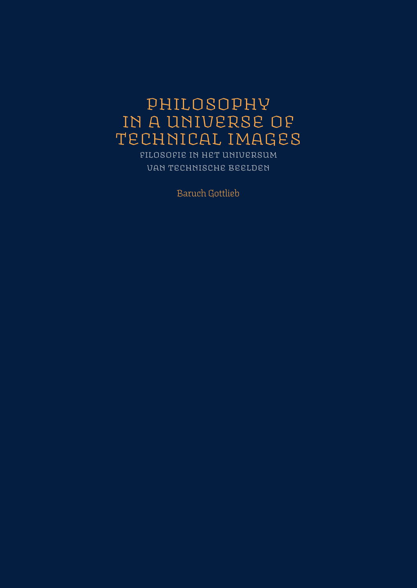# philosophy in a universe of technical images

filosofie in het universum van technische beelden

Baruch Gottlieb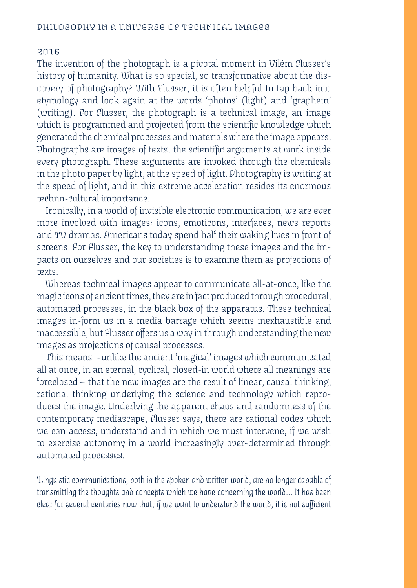#### 2016

The invention of the photograph is a pivotal moment in Vilém Flusser's history of humanity. What is so special, so transformative about the discovery of photography? With Flusser, it is often helpful to tap back into etymology and look again at the words 'photos' (light) and 'graphein' (writing). For Flusser, the photograph is a technical image, an image which is programmed and projected from the scientific knowledge which generated the chemical processes and materials where the image appears. Photographs are images of texts; the scientific arguments at work inside every photograph. These arguments are invoked through the chemicals in the photo paper by light, at the speed of light. Photography is writing at the speed of light, and in this extreme acceleration resides its enormous techno-cultural importance.

Ironically, in a world of invisible electronic communication, we are ever more involved with images: icons, emoticons, interfaces, news reports and tv dramas. Americans today spend half their waking lives in front of screens. For Flusser, the key to understanding these images and the impacts on ourselves and our societies is to examine them as projections of texts.

Whereas technical images appear to communicate all-at-once, like the magic icons of ancient times, they are in fact produced through procedural, automated processes, in the black box of the apparatus. These technical images in-form us in a media barrage which seems inexhaustible and inaccessible, but Flusser offers us a way in through understanding the new images as projections of causal processes.

This means — unlike the ancient 'magical' images which communicated all at once, in an eternal, cyclical, closed-in world where all meanings are foreclosed — that the new images are the result of linear, causal thinking, rational thinking underlying the science and technology which reproduces the image. Underlying the apparent chaos and randomness of the contemporary mediascape, Flusser says, there are rational codes which we can access, understand and in which we must intervene, if we wish to exercise autonomy in a world increasingly over-determined through automated processes.

*'Linguistic communications, both in the spoken and written world, are no longer capable of transmitting the thoughts and concepts which we have concerning the world... It has been clear for several centuries now that, if we want to understand the world, it is not sufficient*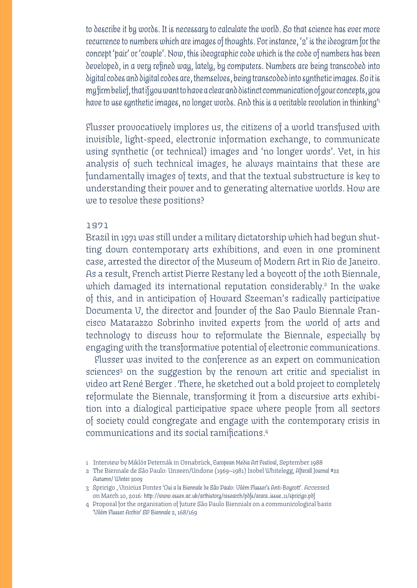*to describe it by words. It is necessary to calculate the world. So that science has ever more recurrence to numbers which are images of thoughts. For instance, '2' is the ideogram for the concept 'pair' or 'couple'. Now, this ideographic code which is the code of numbers has been developed, in a very refined way, lately, by computers. Numbers are being transcoded into digital codes and digital codes are, themselves, being transcoded into synthetic images. So it is my firm belief, that if you want to have a clear and distinct communication of your concepts, you have to use synthetic images, no longer words. And this is a veritable revolution in thinking'1*

Flusser provocatively implores us, the citizens of a world transfused with invisible, light-speed, electronic information exchange, to communicate using synthetic (or technical) images and 'no longer words'. Yet, in his analysis of such technical images, he always maintains that these are fundamentally images of texts, and that the textual substructure is key to understanding their power and to generating alternative worlds. How are we to resolve these positions?

#### 1971

Brazil in 1971 was still under a military dictatorship which had begun shutting down contemporary arts exhibitions, and even in one prominent case, arrested the director of the Museum of Modern Art in Rio de Janeiro. As a result, French artist Pierre Restany led a boycott of the 10th Biennale, which damaged its international reputation considerably. $^{2}$  In the wake of this, and in anticipation of Howard Szeeman's radically participative Documenta V, the director and founder of the Sao Paulo Biennale Francisco Matarazzo Sobrinho invited experts from the world of arts and technology to discuss how to reformulate the Biennale, especially by engaging with the transformative potential of electronic communications.

Flusser was invited to the conference as an expert on communication sciences<sup>3</sup> on the suggestion by the renown art critic and specialist in video art René Berger . There, he sketched out a bold project to completely reformulate the Biennale, transforming it from a discursive arts exhibition into a dialogical participative space where people from all sectors of society could congregate and engage with the contemporary crisis in communications and its social ramifications.4

- 1 Interview by Miklós Peternák in Osnabrück, *European Media Art Festival*, September 1988
- 2 The Biennale de São Paulo: Unseen/Undone (1969—1981) Isobel Whitelegg, *Afterall Journal #22 Autumn/ Winter 2009*
- 3 Spricigo , Vinicius Pontes *'Oui a la Biennale de São Paulo: Vilém Flusser's Anti-Boycott'.* Accessed on March 10, 2016: *http://www.essex.ac.uk/arthistory/research/pdfs/arara\_issue\_11/spricigo.pdf*
- 4 Proposal for the organisation of future São Paulo Biennials on a communicological basis *'Vilém Flusser Archiv' SP Biennale 2*, 168/169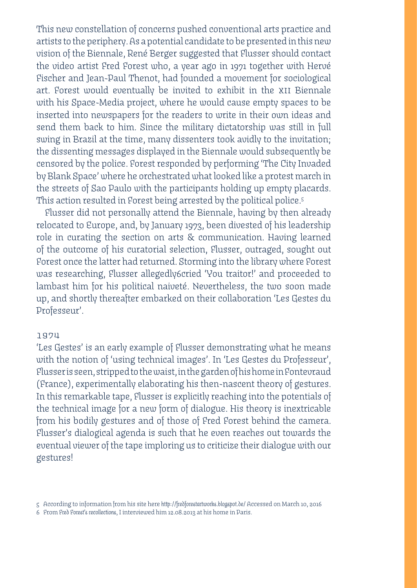This new constellation of concerns pushed conventional arts practice and artists to the periphery. As a potential candidate to be presented in this new vision of the Biennale, René Berger suggested that Flusser should contact the video artist Fred Forest who, a year ago in 1971 together with Hervé Fischer and Jean-Paul Thenot, had founded a movement for sociological art. Forest would eventually be invited to exhibit in the xii Biennale with his Space-Media project, where he would cause empty spaces to be inserted into newspapers for the readers to write in their own ideas and send them back to him. Since the military dictatorship was still in full swing in Brazil at the time, many dissenters took avidly to the invitation; the dissenting messages displayed in the Biennale would subsequently be censored by the police. Forest responded by performing 'The City Invaded by Blank Space' where he orchestrated what looked like a protest march in the streets of Sao Paulo with the participants holding up empty placards. This action resulted in Forest being arrested by the political police.5

Flusser did not personally attend the Biennale, having by then already relocated to Europe, and, by January 1973, been divested of his leadership role in curating the section on arts & communication. Having learned of the outcome of his curatorial selection, Flusser, outraged, sought out Forest once the latter had returned. Storming into the library where Forest was researching, Flusser allegedly6cried 'You traitor!' and proceeded to lambast him for his political naiveté. Nevertheless, the two soon made up, and shortly thereafter embarked on their collaboration 'Les Gestes du Professeur'.

#### 1974

'Les Gestes' is an early example of Flusser demonstrating what he means with the notion of 'using technical images'. In 'Les Gestes du Professeur', Flusser is seen, stripped to the waist, in the garden of his home in Fontevraud (France), experimentally elaborating his then-nascent theory of gestures. In this remarkable tape, Flusser is explicitly reaching into the potentials of the technical image for a new form of dialogue. His theory is inextricable from his bodily gestures and of those of Fred Forest behind the camera. Flusser's dialogical agenda is such that he even reaches out towards the eventual viewer of the tape imploring us to criticize their dialogue with our gestures!

6 From *Fred Forest's recollections*, I interviewed him 12.08.2013 at his home in Paris.

<sup>5</sup> According to information from his site here *http://fredforestartworks.blogspot.de/* Accessed on March 10, 2016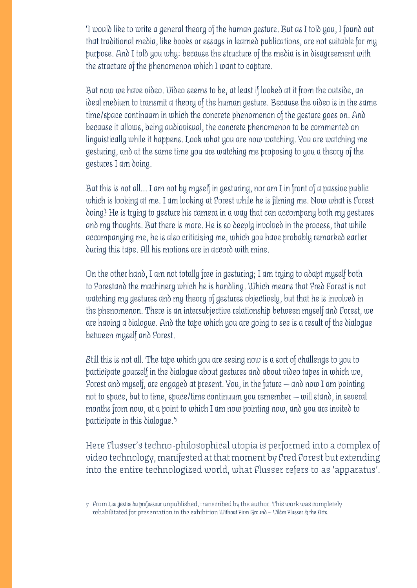*'I would like to write a general theory of the human gesture. But as I told you, I found out that traditional media, like books or essays in learned publications, are not suitable for my purpose. And I told you why: because the structure of the media is in disagreement with the structure of the phenomenon which I want to capture.*

*But now we have video. Video seems to be, at least if looked at it from the outside, an ideal medium to transmit a theory of the human gesture. Because the video is in the same time/space continuum in which the concrete phenomenon of the gesture goes on. And because it allows, being audiovisual, the concrete phenomenon to be commented on linguistically while it happens. Look what you are now watching. You are watching me gesturing, and at the same time you are watching me proposing to you a theory of the gestures I am doing.* 

*But this is not all... I am not by myself in gesturing, nor am I in front of a passive public which is looking at me. I am looking at Forest while he is filming me. Now what is Forest doing? He is trying to gesture his camera in a way that can accompany both my gestures and my thoughts. But there is more. He is so deeply involved in the process, that while accompanying me, he is also criticizing me, which you have probably remarked earlier during this tape. All his motions are in accord with mine.*

*On the other hand, I am not totally free in gesturing; I am trying to adapt myself both to Forestand the machinery which he is handling. Which means that Fred Forest is not watching my gestures and my theory of gestures objectively, but that he is involved in the phenomenon. There is an intersubjective relationship between myself and Forest, we are having a dialogue. And the tape which you are going to see is a result of the dialogue between myself and Forest.*

*Still this is not all. The tape which you are seeing now is a sort of challenge to you to participate yourself in the dialogue about gestures and about video tapes in which we, Forest and myself, are engaged at present. You, in the future — and now I am pointing not to space, but to time, space/time continuum you remember — will stand, in several months from now, at a point to which I am now pointing now, and you are invited to participate in this dialogue.'7*

Here Flusser's techno-philosophical utopia is performed into a complex of video technology, manifested at that moment by Fred Forest but extending into the entire technologized world, what Flusser refers to as 'apparatus'.

<sup>7</sup> From *Les gestes du prefesseur* unpublished, transcribed by the author. This work was completely rehabilitated for presentation in the exhibition *Without Firm Ground – Vilém Flusser & the Arts.*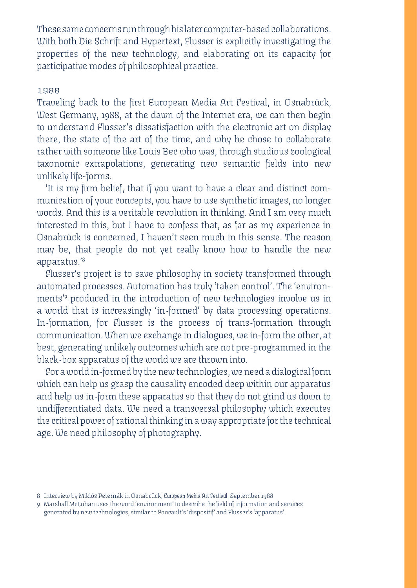These same concerns run through his later computer-based collaborations. With both Die Schrift and Hypertext, Flusser is explicitly investigating the properties of the new technology, and elaborating on its capacity for participative modes of philosophical practice.

#### 1988

Traveling back to the first European Media Art Festival, in Osnabrück, West Germany, 1988, at the dawn of the Internet era, we can then begin to understand Flusser's dissatisfaction with the electronic art on display there, the state of the art of the time, and why he chose to collaborate rather with someone like Louis Bec who was, through studious zoological taxonomic extrapolations, generating new semantic fields into new unlikely life-forms.

'It is my firm belief, that if you want to have a clear and distinct communication of your concepts, you have to use synthetic images, no longer words. And this is a veritable revolution in thinking. And I am very much interested in this, but I have to confess that, as far as my experience in Osnabrück is concerned, I haven't seen much in this sense. The reason may be, that people do not yet really know how to handle the new apparatus.'8

Flusser's project is to save philosophy in society transformed through automated processes. Automation has truly 'taken control'. The 'environments'9 produced in the introduction of new technologies involve us in a world that is increasingly 'in-formed' by data processing operations. In-formation, for Flusser is the process of trans-formation through communication. When we exchange in dialogues, we in-form the other, at best, generating unlikely outcomes which are not pre-programmed in the black-box apparatus of the world we are thrown into.

For a world in-formed by the new technologies, we need a dialogical form which can help us grasp the causality encoded deep within our apparatus and help us in-form these apparatus so that they do not grind us down to undifferentiated data. We need a transversal philosophy which executes the critical power of rational thinking in a way appropriate for the technical age. We need philosophy of photography.

<sup>8</sup> Interview by Miklós Peternák in Osnabrück, *European Media Art Festival*, September 1988

<sup>9</sup> Marshall McLuhan uses the word 'environment' to describe the field of information and services generated by new technologies, similar to Foucault's 'dispositif' and Flusser's 'apparatus'.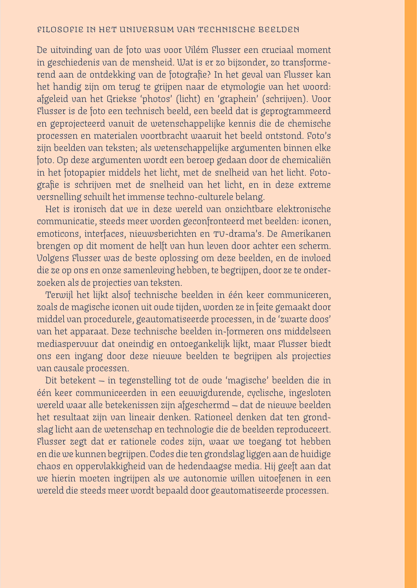#### filosofie in het universum van technische beelden

De uitvinding van de foto was voor Vilém Flusser een cruciaal moment in geschiedenis van de mensheid. Wat is er zo bijzonder, zo transformerend aan de ontdekking van de fotografie? In het geval van Flusser kan het handig zijn om terug te grijpen naar de etymologie van het woord: afgeleid van het Griekse 'photos' (licht) en 'graphein' (schrijven). Voor Flusser is de foto een technisch beeld, een beeld dat is geprogrammeerd en geprojecteerd vanuit de wetenschappelijke kennis die de chemische processen en materialen voortbracht waaruit het beeld ontstond. Foto's zijn beelden van teksten; als wetenschappelijke argumenten binnen elke foto. Op deze argumenten wordt een beroep gedaan door de chemicaliën in het fotopapier middels het licht, met de snelheid van het licht. Fotografie is schrijven met de snelheid van het licht, en in deze extreme versnelling schuilt het immense techno-culturele belang.

Het is ironisch dat we in deze wereld van onzichtbare elektronische communicatie, steeds meer worden geconfronteerd met beelden: iconen, emoticons, interfaces, nieuwsberichten en tv-drama's. De Amerikanen brengen op dit moment de helft van hun leven door achter een scherm. Volgens Flusser was de beste oplossing om deze beelden, en de invloed die ze op ons en onze samenleving hebben, te begrijpen, door ze te onderzoeken als de projecties van teksten.

Terwijl het lijkt alsof technische beelden in één keer communiceren, zoals de magische iconen uit oude tijden, worden ze in feite gemaakt door middel van procedurele, geautomatiseerde processen, in de 'zwarte doos' van het apparaat. Deze technische beelden in-formeren ons middelseen mediaspervuur dat oneindig en ontoegankelijk lijkt, maar Flusser biedt ons een ingang door deze nieuwe beelden te begrijpen als projecties van causale processen.

Dit betekent — in tegenstelling tot de oude 'magische' beelden die in één keer communiceerden in een eeuwigdurende, cyclische, ingesloten wereld waar alle betekenissen zijn afgeschermd — dat de nieuwe beelden het resultaat zijn van lineair denken. Rationeel denken dat ten grondslag licht aan de wetenschap en technologie die de beelden reproduceert. Flusser zegt dat er rationele codes zijn, waar we toegang tot hebben en die we kunnen begrijpen. Codes die ten grondslag liggen aan de huidige chaos en oppervlakkigheid van de hedendaagse media. Hij geeft aan dat we hierin moeten ingrijpen als we autonomie willen uitoefenen in een wereld die steeds meer wordt bepaald door geautomatiseerde processen.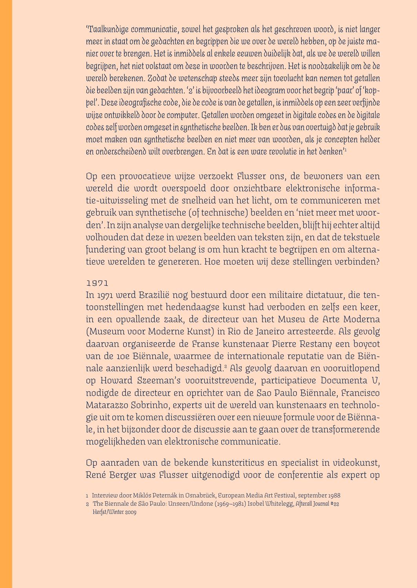'*Taalkundige communicatie, zowel het gesproken als het geschreven woord, is niet langer meer in staat om de gedachten en begrippen die we over de wereld hebben, op de juiste manier over te brengen. Het is inmiddels al enkele eeuwen duidelijk dat, als we de wereld willen begrijpen, het niet volstaat om deze in woorden te beschrijven. Het is noodzakelijk om de de wereld berekenen. Zodat de wetenschap steeds meer zijn toevlucht kan nemen tot getallen die beelden zijn van gedachten. '2' is bijvoorbeeld het ideogram voor het begrip 'paar' of 'koppel'. Deze ideografische code, die de code is van de getallen, is inmiddels op een zeer verfijnde wijze ontwikkeld door de computer. Getallen worden omgezet in digitale codes en de digitale codes zelf worden omgezet in synthetische beelden. Ik ben er dus van overtuigd dat je gebruik moet maken van synthetische beelden en niet meer van woorden, als je concepten helder en onderscheidend wilt overbrengen. En dat is een ware revolutie in het denken'*<sup>1</sup>

Op een provocatieve wijze verzoekt Flusser ons, de bewoners van een wereld die wordt overspoeld door onzichtbare elektronische informatie-uitwisseling met de snelheid van het licht, om te communiceren met gebruik van synthetische (of technische) beelden en 'niet meer met woorden'. In zijn analyse van dergelijke technische beelden, blijft hij echter altijd volhouden dat deze in wezen beelden van teksten zijn, en dat de tekstuele fundering van groot belang is om hun kracht te begrijpen en om alternatieve werelden te genereren. Hoe moeten wij deze stellingen verbinden?

#### 1971

In 1971 werd Brazilië nog bestuurd door een militaire dictatuur, die tentoonstellingen met hedendaagse kunst had verboden en zelfs een keer, in een opvallende zaak, de directeur van het Museu de Arte Moderna (Museum voor Moderne Kunst) in Rio de Janeiro arresteerde. Als gevolg daarvan organiseerde de Franse kunstenaar Pierre Restany een boycot van de 10e Biënnale, waarmee de internationale reputatie van de Biënnale aanzienlijk werd beschadigd.<sup>2</sup> Als gevolg daarvan en vooruitlopend op Howard Szeeman's vooruitstrevende, participatieve Documenta V, nodigde de directeur en oprichter van de Sao Paulo Biënnale, Francisco Matarazzo Sobrinho, experts uit de wereld van kunstenaars en technologie uit om te komen discussiëren over een nieuwe formule voor de Biënnale, in het bijzonder door de discussie aan te gaan over de transformerende mogelijkheden van elektronische communicatie.

Op aanraden van de bekende kunstcriticus en specialist in videokunst, René Berger was Flusser uitgenodigd voor de conferentie als expert op

<sup>1</sup> Interview door Miklós Peternák in Osnabrück, European Media Art Festival, september 1988

<sup>2</sup> The Biennale de São Paulo: Unseen/Undone (1969—1981) Isobel Whitelegg, *Afterall Journal #22 Herfst/Winter 2009*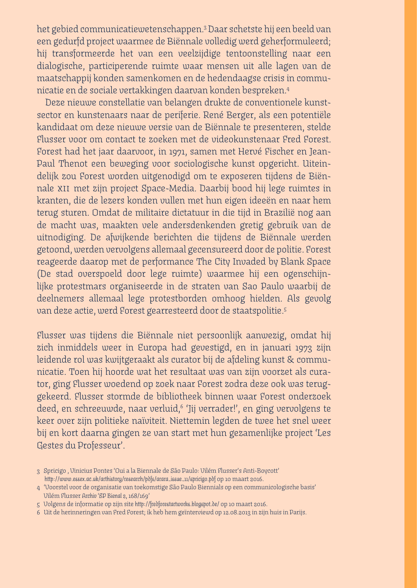het gebied communicatiewetenschappen.3 Daar schetste hij een beeld van een gedurfd project waarmee de Biënnale volledig werd geherformuleerd; hij transformeerde het van een veelzijdige tentoonstelling naar een dialogische, participerende ruimte waar mensen uit alle lagen van de maatschappij konden samenkomen en de hedendaagse crisis in communicatie en de sociale vertakkingen daarvan konden bespreken.4

Deze nieuwe constellatie van belangen drukte de conventionele kunstsector en kunstenaars naar de periferie. René Berger, als een potentiële kandidaat om deze nieuwe versie van de Biënnale te presenteren, stelde Flusser voor om contact te zoeken met de videokunstenaar Fred Forest. Forest had het jaar daarvoor, in 1971, samen met Hervé Fischer en Jean-Paul Thenot een beweging voor sociologische kunst opgericht. Uiteindelijk zou Forest worden uitgenodigd om te exposeren tijdens de Biënnale xii met zijn project Space-Media. Daarbij bood hij lege ruimtes in kranten, die de lezers konden vullen met hun eigen ideeën en naar hem terug sturen. Omdat de militaire dictatuur in die tijd in Brazilië nog aan de macht was, maakten vele andersdenkenden gretig gebruik van de uitnodiging. De afwijkende berichten die tijdens de Biënnale werden getoond, werden vervolgens allemaal gecensureerd door de politie. Forest reageerde daarop met de performance The City Invaded by Blank Space (De stad overspoeld door lege ruimte) waarmee hij een ogenschijnlijke protestmars organiseerde in de straten van Sao Paulo waarbij de deelnemers allemaal lege protestborden omhoog hielden. Als gevolg van deze actie, werd Forest gearresteerd door de staatspolitie.5

Flusser was tijdens die Biënnale niet persoonlijk aanwezig, omdat hij zich inmiddels weer in Europa had gevestigd, en in januari 1973 zijn leidende rol was kwijtgeraakt als curator bij de afdeling kunst & communicatie. Toen hij hoorde wat het resultaat was van zijn voorzet als curator, ging Flusser woedend op zoek naar Forest zodra deze ook was teruggekeerd. Flusser stormde de bibliotheek binnen waar Forest onderzoek deed, en schreeuwde, naar verluid,6 'Jij verrader!', en ging vervolgens te keer over zijn politieke naïviteit. Niettemin legden de twee het snel weer bij en kort daarna gingen ze van start met hun gezamenlijke project 'Les Gestes du Professeur'.

<sup>3</sup> Spricigo , Vinicius Pontes 'Oui a la Biennale de São Paulo: Vilém Flusser's Anti-Boycott' *http://www.essex.ac.uk/arthistory/research/pdfs/arara\_issue\_11/spricigo.pdf* op 10 maart 2016.

<sup>4 &#</sup>x27;Voorstel voor de organisatie van toekomstige São Paulo Biennials op een communicologische basis' Vilém Flusser *Archiv 'SP Bienal 2,* 168/169'

<sup>5</sup> Volgens de informatie op zijn site *http://fredforestartworks.blogspot.de/* op 10 maart 2016.

<sup>6</sup> Uit de herinneringen van Fred Forest; ik heb hem geïnterviewd op 12.08.2013 in zijn huis in Parijs.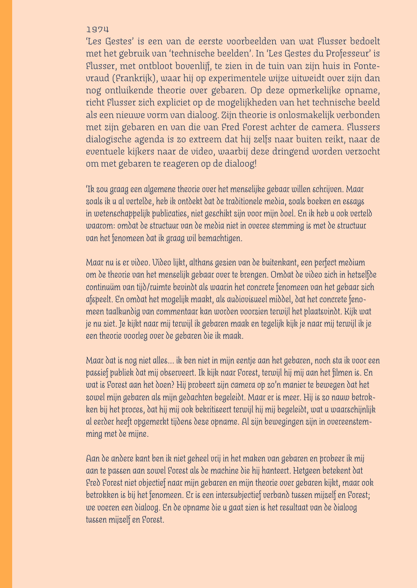### 1974

'Les Gestes' is een van de eerste voorbeelden van wat Flusser bedoelt met het gebruik van 'technische beelden'. In 'Les Gestes du Professeur' is Flusser, met ontbloot bovenlijf, te zien in de tuin van zijn huis in Fontevraud (Frankrijk), waar hij op experimentele wijze uitweidt over zijn dan nog ontluikende theorie over gebaren. Op deze opmerkelijke opname, richt Flusser zich expliciet op de mogelijkheden van het technische beeld als een nieuwe vorm van dialoog. Zijn theorie is onlosmakelijk verbonden met zijn gebaren en van die van Fred Forest achter de camera. Flussers dialogische agenda is zo extreem dat hij zelfs naar buiten reikt, naar de eventuele kijkers naar de video, waarbij deze dringend worden verzocht om met gebaren te reageren op de dialoog!

*'Ik zou graag een algemene theorie over het menselijke gebaar willen schrijven. Maar zoals ik u al vertelde, heb ik ontdekt dat de traditionele media, zoals boeken en essays in wetenschappelijk publicaties, niet geschikt zijn voor mijn doel. En ik heb u ook verteld waarom: omdat de structuur van de media niet in overee stemming is met de structuur van het fenomeen dat ik graag wil bemachtigen.* 

*Maar nu is er video. Video lijkt, althans gezien van de buitenkant, een perfect medium om de theorie van het menselijk gebaar over te brengen. Omdat de video zich in hetzelfde continuüm van tijd/ruimte bevindt als waarin het concrete fenomeen van het gebaar zich afspeelt. En omdat het mogelijk maakt, als audiovisueel middel, dat het concrete fenomeen taalkundig van commentaar kan worden voorzien terwijl het plaatsvindt. Kijk wat je nu ziet. Je kijkt naar mij terwijl ik gebaren maak en tegelijk kijk je naar mij terwijl ik je een theorie voorleg over de gebaren die ik maak.* 

*Maar dat is nog niet alles... ik ben niet in mijn eentje aan het gebaren, noch sta ik voor een passief publiek dat mij observeert. Ik kijk naar Forest, terwijl hij mij aan het filmen is. En wat is Forest aan het doen? Hij probeert zijn camera op zo'n manier te bewegen dat het zowel mijn gebaren als mijn gedachten begeleidt. Maar er is meer. Hij is zo nauw betrokken bij het proces, dat hij mij ook bekritiseert terwijl hij mij begeleidt, wat u waarschijnlijk al eerder heeft opgemerkt tijdens deze opname. Al zijn bewegingen zijn in overeenstemming met de mijne.* 

*Aan de andere kant ben ik niet geheel vrij in het maken van gebaren en probeer ik mij aan te passen aan zowel Forest als de machine die hij hanteert. Hetgeen betekent dat Fred Forest niet objectief naar mijn gebaren en mijn theorie over gebaren kijkt, maar ook betrokken is bij het fenomeen. Er is een intersubjectief verband tussen mijzelf en Forest; we voeren een dialoog. En de opname die u gaat zien is het resultaat van de dialoog tussen mijzelf en Forest.*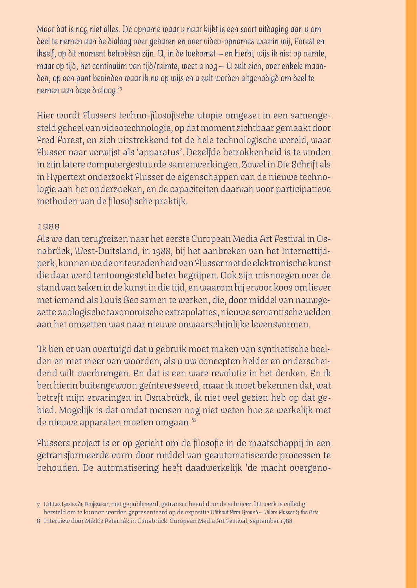*Maar dat is nog niet alles. De opname waar u naar kijkt is een soort uitdaging aan u om deel te nemen aan de dialoog over gebaren en over video-opnames waarin wij, Forest en ikzelf, op dit moment betrokken zijn. U, in de toekomst — en hierbij wijs ik niet op ruimte, maar op tijd, het continuüm van tijd/ruimte, weet u nog — U zult zich, over enkele maanden, op een punt bevinden waar ik nu op wijs en u zult worden uitgenodigd om deel te nemen aan deze dialoog.'7*

Hier wordt Flussers techno-filosofische utopie omgezet in een samengesteld geheel van videotechnologie, op dat moment zichtbaar gemaakt door Fred Forest, en zich uitstrekkend tot de hele technologische wereld, waar Flusser naar verwijst als 'apparatus'. Dezelfde betrokkenheid is te vinden in zijn latere computergestuurde samenwerkingen. Zowel in Die Schrift als in Hypertext onderzoekt Flusser de eigenschappen van de nieuwe technologie aan het onderzoeken, en de capaciteiten daarvan voor participatieve methoden van de filosofische praktijk.

## 1988

Als we dan terugreizen naar het eerste European Media Art Festival in Osnabrück, West-Duitsland, in 1988, bij het aanbreken van het Internettijdperk, kunnen we de ontevredenheid van Flusser met de elektronische kunst die daar werd tentoongesteld beter begrijpen. Ook zijn misnoegen over de stand van zaken in de kunst in die tijd, en waarom hij ervoor koos om liever met iemand als Louis Bec samen te werken, die, door middel van nauwgezette zoologische taxonomische extrapolaties, nieuwe semantische velden aan het omzetten was naar nieuwe onwaarschijnlijke levensvormen.

'Ik ben er van overtuigd dat u gebruik moet maken van synthetische beelden en niet meer van woorden, als u uw concepten helder en onderscheidend wilt overbrengen. En dat is een ware revolutie in het denken. En ik ben hierin buitengewoon geïnteresseerd, maar ik moet bekennen dat, wat betreft mijn ervaringen in Osnabrück, ik niet veel gezien heb op dat gebied. Mogelijk is dat omdat mensen nog niet weten hoe ze werkelijk met de nieuwe apparaten moeten omgaan.'*<sup>8</sup>*

Flussers project is er op gericht om de filosofie in de maatschappij in een getransformeerde vorm door middel van geautomatiseerde processen te behouden. De automatisering heeft daadwerkelijk 'de macht overgeno-

hersteld om te kunnen worden gepresenteerd op de expositie *Without Firm Ground — Vilém Flusser & the Arts* 

<sup>7</sup> Uit *Les Gestes du Professeur*, niet gepubliceerd, getranscribeerd door de schrijver. Dit werk is volledig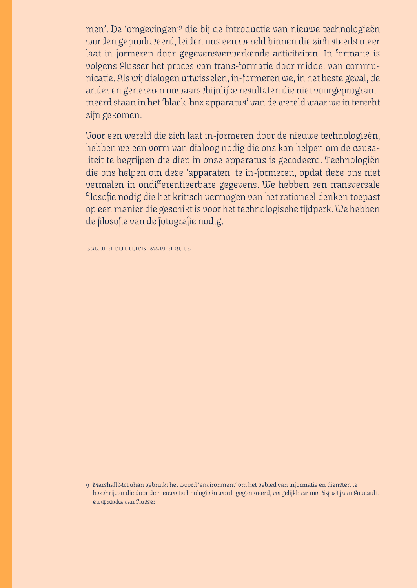men'. De 'omgevingen'9 die bij de introductie van nieuwe technologieën worden geproduceerd, leiden ons een wereld binnen die zich steeds meer laat in-formeren door gegevensverwerkende activiteiten. In-formatie is volgens Flusser het proces van trans-formatie door middel van communicatie. Als wij dialogen uitwisselen, in-formeren we, in het beste geval, de ander en genereren onwaarschijnlijke resultaten die niet voorgeprogrammeerd staan in het 'black-box apparatus' van de wereld waar we in terecht zijn gekomen.

Voor een wereld die zich laat in-formeren door de nieuwe technologieën, hebben we een vorm van dialoog nodig die ons kan helpen om de causaliteit te begrijpen die diep in onze apparatus is gecodeerd. Technologiën die ons helpen om deze 'apparaten' te in-formeren, opdat deze ons niet vermalen in ondifferentieerbare gegevens. We hebben een transversale filosofie nodig die het kritisch vermogen van het rationeel denken toepast op een manier die geschikt is voor het technologische tijdperk. We hebben de filosofie van de fotografie nodig.

baruch gottlieb, march 2016

9 Marshall McLuhan gebruikt het woord 'environment' om het gebied van informatie en diensten te beschrijven die door de nieuwe technologieën wordt gegenereerd, vergelijkbaar met *dispositif* van Foucault. en *apparatus* van Flusser